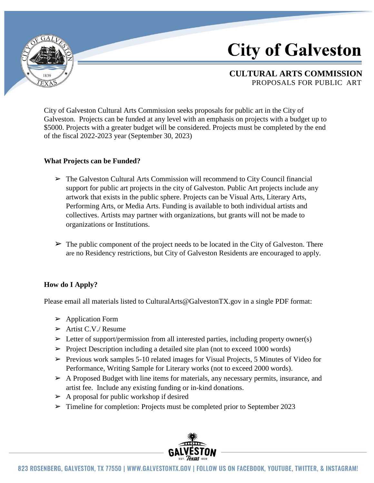

# **City of Galveston**

## **CULTURAL ARTS COMMISSION** PROPOSALS FOR PUBLIC ART

City of Galveston Cultural Arts Commission seeks proposals for public art in the City of Galveston. Projects can be funded at any level with an emphasis on projects with a budget up to \$5000. Projects with a greater budget will be considered. Projects must be completed by the end of the fiscal 2022-2023 year (September 30, 2023)

### **What Projects can be Funded?**

- $\triangleright$  The Galveston Cultural Arts Commission will recommend to City Council financial support for public art projects in the city of Galveston. Public Art projects include any artwork that exists in the public sphere. Projects can be Visual Arts, Literary Arts, Performing Arts, or Media Arts. Funding is available to both individual artists and collectives. Artists may partner with organizations, but grants will not be made to organizations or Institutions.
- $\triangleright$  The public component of the project needs to be located in the City of Galveston. There are no Residency restrictions, but City of Galveston Residents are encouraged to apply.

## **How do I Apply?**

Please email all materials list[ed to CulturalArts@GalvestonTX.gov](mailto:CulturalArts@GalvestonTX.gov) in a single PDF format:

- $\triangleright$  Application Form
- $\triangleright$  Artist C.V./ Resume
- $\triangleright$  Letter of support/permission from all interested parties, including property owner(s)
- $\triangleright$  Project Description including a detailed site plan (not to exceed 1000 words)
- $\triangleright$  Previous work samples 5-10 related images for Visual Projects, 5 Minutes of Video for Performance, Writing Sample for Literary works (not to exceed 2000 words).
- $\triangleright$  A Proposed Budget with line items for materials, any necessary permits, insurance, and artist fee. Include any existing funding or in-kind donations.
- $\triangleright$  A proposal for public workshop if desired
- $\triangleright$  Timeline for completion: Projects must be completed prior to September 2023

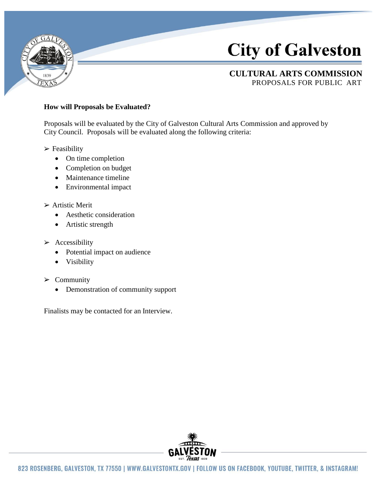

# **City of Galveston**

## **CULTURAL ARTS COMMISSION** PROPOSALS FOR PUBLIC ART

### **How will Proposals be Evaluated?**

Proposals will be evaluated by the City of Galveston Cultural Arts Commission and approved by City Council. Proposals will be evaluated along the following criteria:

 $\triangleright$  Feasibility

- On time completion
- Completion on budget
- Maintenance timeline
- Environmental impact

#### $\triangleright$  Artistic Merit

- Aesthetic consideration
- Artistic strength
- $\triangleright$  Accessibility
	- Potential impact on audience
	- Visibility
- $\triangleright$  Community
	- Demonstration of community support

Finalists may be contacted for an Interview.